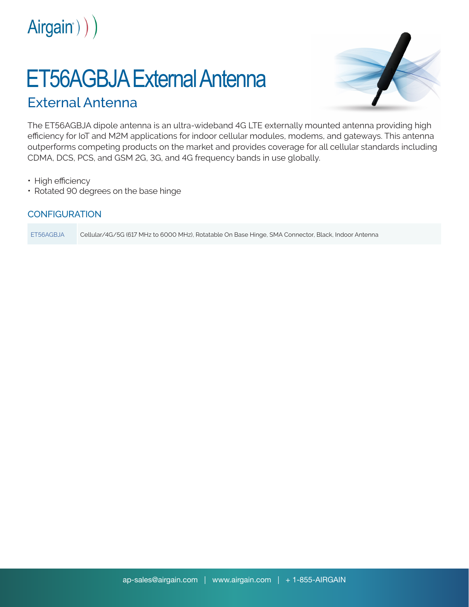

# ET56AGBJA External Antenna

# External Antenna



The ET56AGBJA dipole antenna is an ultra-wideband 4G LTE externally mounted antenna providing high efficiency for IoT and M2M applications for indoor cellular modules, modems, and gateways. This antenna outperforms competing products on the market and provides coverage for all cellular standards including CDMA, DCS, PCS, and GSM 2G, 3G, and 4G frequency bands in use globally.

• High efficiency

• Rotated 90 degrees on the base hinge

## **CONFIGURATION**

ET56AGBJA Cellular/4G/5G (617 MHz to 6000 MHz), Rotatable On Base Hinge, SMA Connector, Black, Indoor Antenna